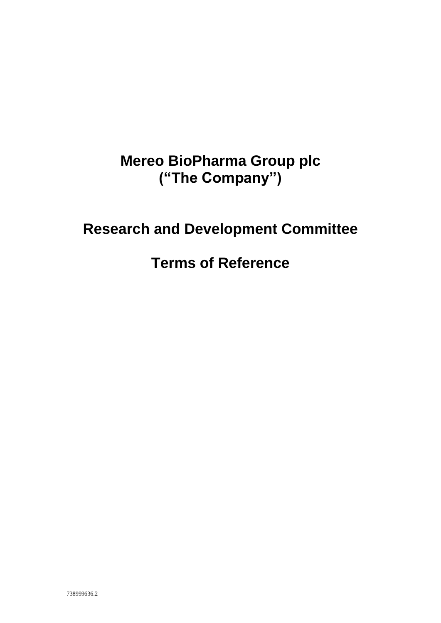# **Mereo BioPharma Group plc ("The Company")**

# **Research and Development Committee**

## **Terms of Reference**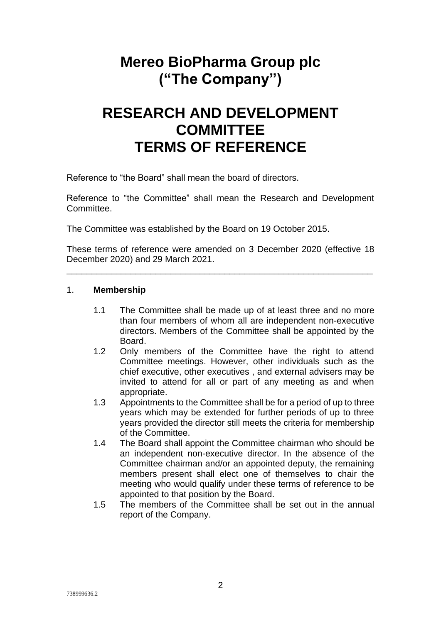## **Mereo BioPharma Group plc ("The Company")**

## **RESEARCH AND DEVELOPMENT COMMITTEE TERMS OF REFERENCE**

Reference to "the Board" shall mean the board of directors.

Reference to "the Committee" shall mean the Research and Development Committee.

The Committee was established by the Board on 19 October 2015.

These terms of reference were amended on 3 December 2020 (effective 18 December 2020) and 29 March 2021.

\_\_\_\_\_\_\_\_\_\_\_\_\_\_\_\_\_\_\_\_\_\_\_\_\_\_\_\_\_\_\_\_\_\_\_\_\_\_\_\_\_\_\_\_\_\_\_\_\_\_\_\_\_\_\_\_\_\_\_\_\_\_

#### 1. **Membership**

- 1.1 The Committee shall be made up of at least three and no more than four members of whom all are independent non-executive directors. Members of the Committee shall be appointed by the **Board**
- 1.2 Only members of the Committee have the right to attend Committee meetings. However, other individuals such as the chief executive, other executives , and external advisers may be invited to attend for all or part of any meeting as and when appropriate.
- 1.3 Appointments to the Committee shall be for a period of up to three years which may be extended for further periods of up to three years provided the director still meets the criteria for membership of the Committee.
- 1.4 The Board shall appoint the Committee chairman who should be an independent non-executive director. In the absence of the Committee chairman and/or an appointed deputy, the remaining members present shall elect one of themselves to chair the meeting who would qualify under these terms of reference to be appointed to that position by the Board.
- 1.5 The members of the Committee shall be set out in the annual report of the Company.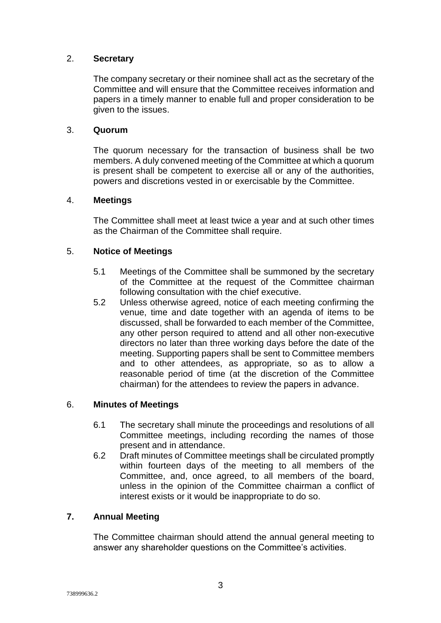### 2. **Secretary**

The company secretary or their nominee shall act as the secretary of the Committee and will ensure that the Committee receives information and papers in a timely manner to enable full and proper consideration to be given to the issues.

#### 3. **Quorum**

The quorum necessary for the transaction of business shall be two members. A duly convened meeting of the Committee at which a quorum is present shall be competent to exercise all or any of the authorities, powers and discretions vested in or exercisable by the Committee.

#### 4. **Meetings**

The Committee shall meet at least twice a year and at such other times as the Chairman of the Committee shall require.

#### 5. **Notice of Meetings**

- 5.1 Meetings of the Committee shall be summoned by the secretary of the Committee at the request of the Committee chairman following consultation with the chief executive.
- 5.2 Unless otherwise agreed, notice of each meeting confirming the venue, time and date together with an agenda of items to be discussed, shall be forwarded to each member of the Committee, any other person required to attend and all other non-executive directors no later than three working days before the date of the meeting. Supporting papers shall be sent to Committee members and to other attendees, as appropriate, so as to allow a reasonable period of time (at the discretion of the Committee chairman) for the attendees to review the papers in advance.

#### 6. **Minutes of Meetings**

- 6.1 The secretary shall minute the proceedings and resolutions of all Committee meetings, including recording the names of those present and in attendance.
- 6.2 Draft minutes of Committee meetings shall be circulated promptly within fourteen days of the meeting to all members of the Committee, and, once agreed, to all members of the board, unless in the opinion of the Committee chairman a conflict of interest exists or it would be inappropriate to do so.

#### **7. Annual Meeting**

The Committee chairman should attend the annual general meeting to answer any shareholder questions on the Committee's activities.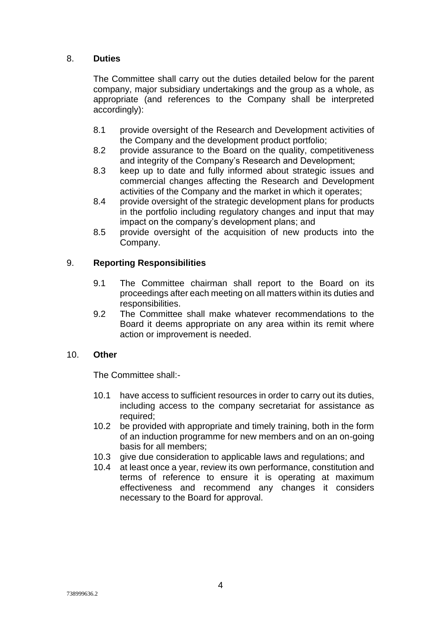### 8. **Duties**

The Committee shall carry out the duties detailed below for the parent company, major subsidiary undertakings and the group as a whole, as appropriate (and references to the Company shall be interpreted accordingly):

- 8.1 provide oversight of the Research and Development activities of the Company and the development product portfolio;
- 8.2 provide assurance to the Board on the quality, competitiveness and integrity of the Company's Research and Development;
- 8.3 keep up to date and fully informed about strategic issues and commercial changes affecting the Research and Development activities of the Company and the market in which it operates;
- 8.4 provide oversight of the strategic development plans for products in the portfolio including regulatory changes and input that may impact on the company's development plans; and
- 8.5 provide oversight of the acquisition of new products into the Company.

### 9. **Reporting Responsibilities**

- 9.1 The Committee chairman shall report to the Board on its proceedings after each meeting on all matters within its duties and responsibilities.
- 9.2 The Committee shall make whatever recommendations to the Board it deems appropriate on any area within its remit where action or improvement is needed.

#### 10. **Other**

The Committee shall:-

- 10.1 have access to sufficient resources in order to carry out its duties, including access to the company secretariat for assistance as required;
- 10.2 be provided with appropriate and timely training, both in the form of an induction programme for new members and on an on-going basis for all members;
- 10.3 give due consideration to applicable laws and regulations; and
- 10.4 at least once a year, review its own performance, constitution and terms of reference to ensure it is operating at maximum effectiveness and recommend any changes it considers necessary to the Board for approval.